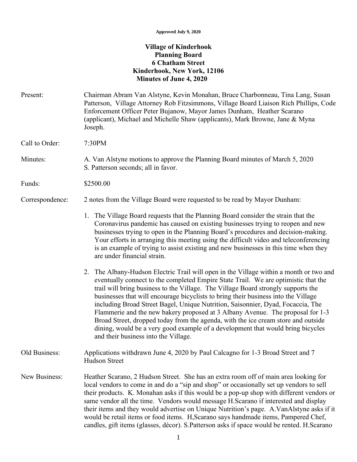## **Village of Kinderhook Planning Board 6 Chatham Street Kinderhook, New York, 12106 Minutes of June 4, 2020**

| Present:        | Chairman Abram Van Alstyne, Kevin Monahan, Bruce Charbonneau, Tina Lang, Susan<br>Patterson, Village Attorney Rob Fitzsimmons, Village Board Liaison Rich Phillips, Code<br>Enforcement Officer Peter Bujanow, Mayor James Dunham, Heather Scarano<br>(applicant), Michael and Michelle Shaw (applicants), Mark Browne, Jane & Myna<br>Joseph.                                                                                                                                                                                                                                                                                                                                                                                               |
|-----------------|----------------------------------------------------------------------------------------------------------------------------------------------------------------------------------------------------------------------------------------------------------------------------------------------------------------------------------------------------------------------------------------------------------------------------------------------------------------------------------------------------------------------------------------------------------------------------------------------------------------------------------------------------------------------------------------------------------------------------------------------|
| Call to Order:  | 7:30PM                                                                                                                                                                                                                                                                                                                                                                                                                                                                                                                                                                                                                                                                                                                                       |
| Minutes:        | A. Van Alstyne motions to approve the Planning Board minutes of March 5, 2020<br>S. Patterson seconds; all in favor.                                                                                                                                                                                                                                                                                                                                                                                                                                                                                                                                                                                                                         |
| Funds:          | \$2500.00                                                                                                                                                                                                                                                                                                                                                                                                                                                                                                                                                                                                                                                                                                                                    |
| Correspondence: | 2 notes from the Village Board were requested to be read by Mayor Dunham:                                                                                                                                                                                                                                                                                                                                                                                                                                                                                                                                                                                                                                                                    |
|                 | 1. The Village Board requests that the Planning Board consider the strain that the<br>Coronavirus pandemic has caused on existing businesses trying to reopen and new<br>businesses trying to open in the Planning Board's procedures and decision-making.<br>Your efforts in arranging this meeting using the difficult video and teleconferencing<br>is an example of trying to assist existing and new businesses in this time when they<br>are under financial strain.                                                                                                                                                                                                                                                                   |
|                 | 2. The Albany-Hudson Electric Trail will open in the Village within a month or two and<br>eventually connect to the completed Empire State Trail. We are optimistic that the<br>trail will bring business to the Village. The Village Board strongly supports the<br>businesses that will encourage bicyclists to bring their business into the Village<br>including Broad Street Bagel, Unique Nutrition, Saisonnier, Dyad, Focaccia, The<br>Flammerie and the new bakery proposed at 3 Albany Avenue. The proposal for 1-3<br>Broad Street, dropped today from the agenda, with the ice cream store and outside<br>dining, would be a very good example of a development that would bring bicycles<br>and their business into the Village. |
| Old Business:   | Applications withdrawn June 4, 2020 by Paul Calcagno for 1-3 Broad Street and 7<br>Hudson Street                                                                                                                                                                                                                                                                                                                                                                                                                                                                                                                                                                                                                                             |
| New Business:   | Heather Scarano, 2 Hudson Street. She has an extra room off of main area looking for<br>local vendors to come in and do a "sip and shop" or occasionally set up vendors to sell<br>their products. K. Monahan asks if this would be a pop-up shop with different vendors or<br>same vendor all the time. Vendors would message H.Scarano if interested and display<br>their items and they would advertise on Unique Nutrition's page. A. VanAlstyne asks if it<br>would be retail items or food items. H, Scarano says handmade items, Pampered Chef,<br>candles, gift items (glasses, décor). S.Patterson asks if space would be rented. H.Scarano                                                                                         |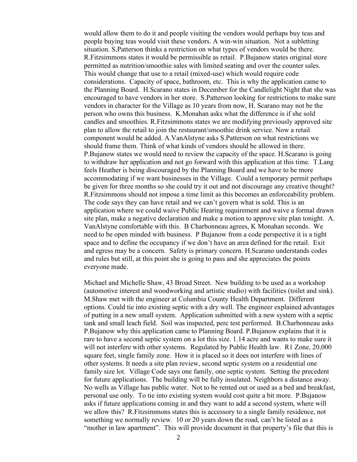would allow them to do it and people visiting the vendors would perhaps buy teas and people buying teas would visit these vendors. A win-win situation. Not a subletting situation. S,Patterson thinks a restriction on what types of vendors would be there. R.Fitzsimmons states it would be permissible as retail. P.Bujanow states original store permitted as nutrition/smoothie sales with limited seating and over the counter sales. This would change that use to a retail (mixed-use) which would require code considerations. Capacity of space, bathroom, etc. This is why the application came to the Planning Board. H.Scarano states in December for the Candlelight Night that she was encouraged to have vendors in her store. S.Patterson looking for restrictions to make sure vendors in character for the Village as 10 years from now, H. Scarano may not be the person who owns this business. K.Monahan asks what the difference is if she sold candles and smoothies. R.Fitzsimmons states we are modifying previously approved site plan to allow the retail to join the restaurant/smoothie drink service. Now a retail component would be added. A.VanAlstyne asks S.Patterson on what restrictions we should frame them. Think of what kinds of vendors should be allowed in there. P.Bujanow states we would need to review the capacity of the space. H.Scarano is going to withdraw her application and not go forward with this application at this time. T.Lang feels Heather is being discouraged by the Planning Board and we have to be more accommodating if we want businesses in the Village. Could a temporary permit perhaps be given for three months so she could try it out and not discourage any creative thought? R.Fitzsimmons should not impose a time limit as this becomes an enforceability problem. The code says they can have retail and we can't govern what is sold. This is an application where we could waive Public Hearing requirement and waive a formal drawn site plan, make a negative declaration and make a motion to approve site plan tonight. A. VanAlstyne comfortable with this. B Charbonneau agrees, K Monahan seconds. We need to be open minded with business. P Bujanow from a code perspective it is a tight space and to define the occupancy if we don't have an area defined for the retail. Exit and egress may be a concern. Safety is primary concern. H.Scarano understands codes and rules but still, at this point she is going to pass and she appreciates the points everyone made.

Michael and Michelle Shaw, 43 Broad Street. New building to be used as a workshop (automotive interest and woodworking and artistic studio) with facilities (toilet and sink). M.Shaw met with the engineer at Columbia County Health Department. Different options. Could tie into existing septic with a dry well. The engineer explained advantages of putting in a new small system. Application submitted with a new system with a septic tank and small leach field. Soil was inspected, perc test performed. B.Charbonneau asks P.Bujanow why this application came to Planning Board. P.Bujanow explains that it is rare to have a second septic system on a lot this size. 1.14 acre and wants to make sure it will not interfere with other systems. Regulated by Public Health law. R1 Zone, 20,000 square feet, single family zone. How it is placed so it does not interfere with lines of other systems. It needs a site plan review, second septic system on a residential one family size lot. Village Code says one family, one septic system. Setting the precedent for future applications. The building will be fully insulated. Neighbors a distance away. No wells as Village has public water. Not to be rented out or used as a bed and breakfast, personal use only. To tie into existing system would cost quite a bit more. P.Bujanow asks if future applications coming in and they want to add a second system, where will we allow this? R.Fitzsimmons states this is accessory to a single family residence, not something we normally review. 10 or 20 years down the road, can't be listed as a "mother in law apartment". This will provide document in that property's file that this is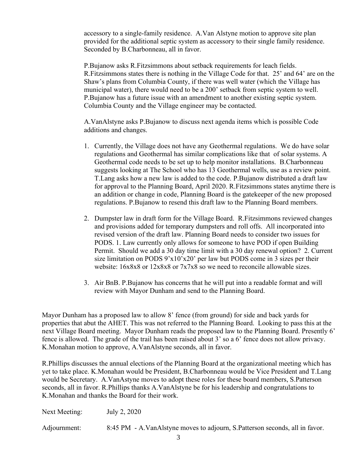accessory to a single-family residence. A.Van Alstyne motion to approve site plan provided for the additional septic system as accessory to their single family residence. Seconded by B.Charbonneau, all in favor.

P.Bujanow asks R.Fitzsimmons about setback requirements for leach fields. R.Fitzsimmons states there is nothing in the Village Code for that. 25' and 64' are on the Shaw's plans from Columbia County, if there was well water (which the Village has municipal water), there would need to be a 200' setback from septic system to well. P.Bujanow has a future issue with an amendment to another existing septic system. Columbia County and the Village engineer may be contacted.

A.VanAlstyne asks P.Bujanow to discuss next agenda items which is possible Code additions and changes.

- 1. Currently, the Village does not have any Geothermal regulations. We do have solar regulations and Geothermal has similar complications like that of solar systems. A Geothermal code needs to be set up to help monitor installations. B.Charbonneau suggests looking at The School who has 13 Geothermal wells, use as a review point. T.Lang asks how a new law is added to the code. P.Bujanow distributed a draft law for approval to the Planning Board, April 2020. R.Fitzsimmons states anytime there is an addition or change in code, Planning Board is the gatekeeper of the new proposed regulations. P.Bujanow to resend this draft law to the Planning Board members.
- 2. Dumpster law in draft form for the Village Board. R.Fitzsimmons reviewed changes and provisions added for temporary dumpsters and roll offs. All incorporated into revised version of the draft law. Planning Board needs to consider two issues for PODS. 1. Law currently only allows for someone to have POD if open Building Permit. Should we add a 30 day time limit with a 30 day renewal option? 2. Current size limitation on PODS 9'x10'x20' per law but PODS come in 3 sizes per their website:  $16x8x8$  or  $12x8x8$  or  $7x7x8$  so we need to reconcile allowable sizes.
- 3. Air BnB. P.Bujanow has concerns that he will put into a readable format and will review with Mayor Dunham and send to the Planning Board.

Mayor Dunham has a proposed law to allow 8' fence (from ground) for side and back yards for properties that abut the AHET. This was not referred to the Planning Board. Looking to pass this at the next Village Board meeting. Mayor Dunham reads the proposed law to the Planning Board. Presently 6' fence is allowed. The grade of the trail has been raised about 3' so a 6' fence does not allow privacy. K.Monahan motion to approve, A.VanAlstyne seconds, all in favor.

R.Phillips discusses the annual elections of the Planning Board at the organizational meeting which has yet to take place. K.Monahan would be President, B.Charbonneau would be Vice President and T.Lang would be Secretary. A.VanAstyne moves to adopt these roles for these board members, S.Patterson seconds, all in favor. R.Phillips thanks A.VanAlstyne be for his leadership and congratulations to K.Monahan and thanks the Board for their work.

Next Meeting: July 2, 2020

Adjournment: 8:45 PM - A.VanAlstyne moves to adjourn, S.Patterson seconds, all in favor.